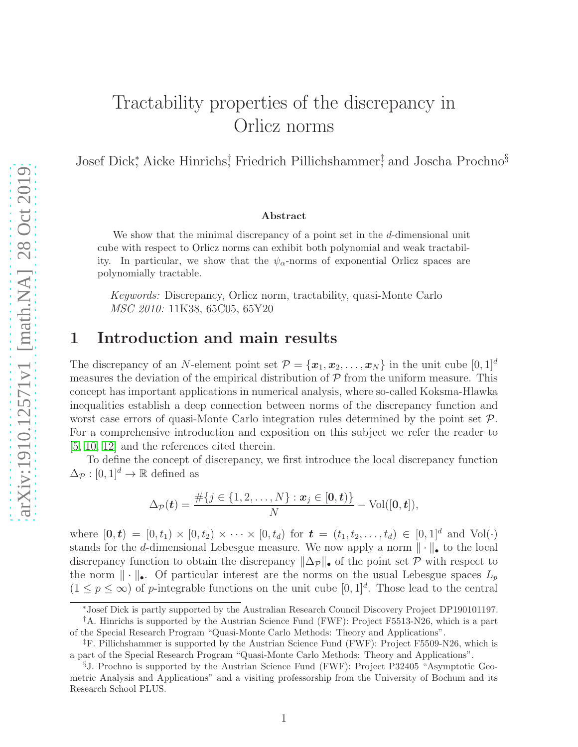# Tractability properties of the discrepancy in Orlicz norms

Josef Dick<sup>∗</sup> , Aicke Hinrichs† , Friedrich Pillichshammer‡ , and Joscha Prochno§

#### Abstract

We show that the minimal discrepancy of a point set in the d-dimensional unit cube with respect to Orlicz norms can exhibit both polynomial and weak tractability. In particular, we show that the  $\psi_{\alpha}$ -norms of exponential Orlicz spaces are polynomially tractable.

*Keywords:* Discrepancy, Orlicz norm, tractability, quasi-Monte Carlo *MSC 2010:* 11K38, 65C05, 65Y20

# 1 Introduction and main results

The discrepancy of an N-element point set  $\mathcal{P} = {\mathbf{x}_1, \mathbf{x}_2, \ldots, \mathbf{x}_N}$  in the unit cube  $[0, 1]^d$ measures the deviation of the empirical distribution of  $P$  from the uniform measure. This concept has important applications in numerical analysis, where so-called Koksma-Hlawka inequalities establish a deep connection between norms of the discrepancy function and worst case errors of quasi-Monte Carlo integration rules determined by the point set  $P$ . For a comprehensive introduction and exposition on this subject we refer the reader to [\[5,](#page-8-0) [10,](#page-8-1) [12\]](#page-8-2) and the references cited therein.

To define the concept of discrepancy, we first introduce the local discrepancy function  $\Delta_{\mathcal{P}} : [0, 1]^d \to \mathbb{R}$  defined as

$$
\Delta_{\mathcal{P}}(\boldsymbol{t}) = \frac{\#\{j \in \{1, 2, \ldots, N\} : \boldsymbol{x}_j \in [0, \boldsymbol{t})\}}{N} - \text{Vol}([0, \boldsymbol{t}]),
$$

where  $[0, t) = [0, t_1) \times [0, t_2) \times \cdots \times [0, t_d]$  for  $t = (t_1, t_2, \ldots, t_d) \in [0, 1]^d$  and  $Vol(\cdot)$ stands for the d-dimensional Lebesgue measure. We now apply a norm  $\|\cdot\|_{\bullet}$  to the local discrepancy function to obtain the discrepancy  $\|\Delta_{\mathcal{P}}\|_{\bullet}$  of the point set P with respect to the norm  $\|\cdot\|_{\bullet}$ . Of particular interest are the norms on the usual Lebesgue spaces  $L_p$  $(1 \le p \le \infty)$  of p-integrable functions on the unit cube  $[0,1]^d$ . Those lead to the central

<sup>∗</sup>Josef Dick is partly supported by the Australian Research Council Discovery Project DP190101197.

<sup>†</sup>A. Hinrichs is supported by the Austrian Science Fund (FWF): Project F5513-N26, which is a part of the Special Research Program "Quasi-Monte Carlo Methods: Theory and Applications".

<sup>‡</sup>F. Pillichshammer is supported by the Austrian Science Fund (FWF): Project F5509-N26, which is a part of the Special Research Program "Quasi-Monte Carlo Methods: Theory and Applications".

<sup>§</sup>J. Prochno is supported by the Austrian Science Fund (FWF): Project P32405 "Asymptotic Geometric Analysis and Applications" and a visiting professorship from the University of Bochum and its Research School PLUS.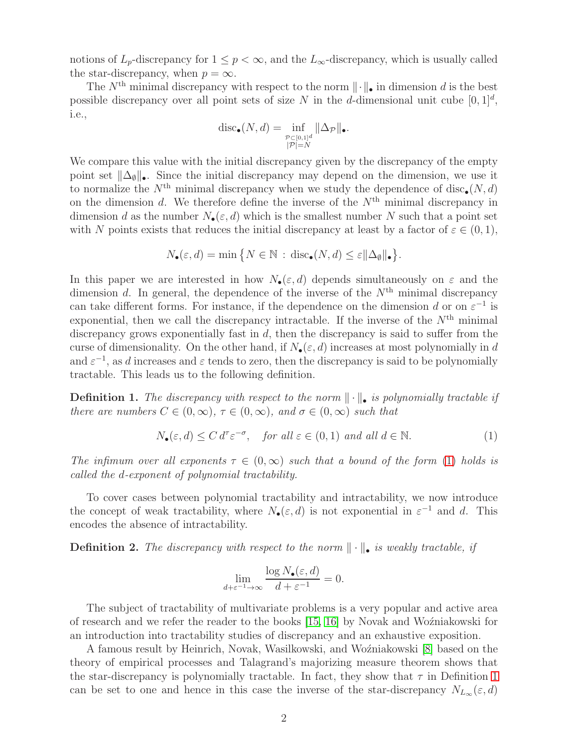notions of  $L_p$ -discrepancy for  $1 \leq p < \infty$ , and the  $L_\infty$ -discrepancy, which is usually called the star-discrepancy, when  $p = \infty$ .

The  $N<sup>th</sup>$  minimal discrepancy with respect to the norm  $\|\cdot\|_{\bullet}$  in dimension d is the best possible discrepancy over all point sets of size N in the d-dimensional unit cube  $[0, 1]^d$ , i.e.,

$$
\operatorname{disc}_{\bullet}(N, d) = \inf_{\substack{\mathcal{P} \subset [0, 1]^d \\ |\mathcal{P}| = N}} \|\Delta_{\mathcal{P}}\|_{\bullet}.
$$

We compare this value with the initial discrepancy given by the discrepancy of the empty point set  $\|\Delta_{\emptyset}\|_{\bullet}$ . Since the initial discrepancy may depend on the dimension, we use it to normalize the  $N^{\text{th}}$  minimal discrepancy when we study the dependence of disc<sub>•</sub>(N, d) on the dimension d. We therefore define the inverse of the  $N<sup>th</sup>$  minimal discrepancy in dimension d as the number  $N_{\bullet}(\varepsilon, d)$  which is the smallest number N such that a point set with N points exists that reduces the initial discrepancy at least by a factor of  $\varepsilon \in (0,1)$ ,

$$
N_{\bullet}(\varepsilon, d) = \min \big\{ N \in \mathbb{N} \, : \, \text{disc}_{\bullet}(N, d) \le \varepsilon ||\Delta_{\emptyset}||_{\bullet} \big\}.
$$

In this paper we are interested in how  $N_{\bullet}(\varepsilon, d)$  depends simultaneously on  $\varepsilon$  and the dimension d. In general, the dependence of the inverse of the  $N<sup>th</sup>$  minimal discrepancy can take different forms. For instance, if the dependence on the dimension d or on  $\varepsilon^{-1}$  is exponential, then we call the discrepancy intractable. If the inverse of the  $N<sup>th</sup>$  minimal discrepancy grows exponentially fast in  $d$ , then the discrepancy is said to suffer from the curse of dimensionality. On the other hand, if  $N_{\bullet}(\varepsilon, d)$  increases at most polynomially in d and  $\varepsilon^{-1}$ , as d increases and  $\varepsilon$  tends to zero, then the discrepancy is said to be polynomially tractable. This leads us to the following definition.

<span id="page-1-1"></span>**Definition 1.** The discrepancy with respect to the norm  $\|\cdot\|_2$  is polynomially tractable if *there are numbers*  $C \in (0, \infty)$ ,  $\tau \in (0, \infty)$ *, and*  $\sigma \in (0, \infty)$  *such that* 

<span id="page-1-0"></span>
$$
N_{\bullet}(\varepsilon, d) \le C d^{\tau} \varepsilon^{-\sigma}, \quad \text{for all } \varepsilon \in (0, 1) \text{ and all } d \in \mathbb{N}.
$$
 (1)

*The infimum over all exponents*  $\tau \in (0, \infty)$  *such that a bound of the form* [\(1\)](#page-1-0) *holds is called the* d*-exponent of polynomial tractability.*

To cover cases between polynomial tractability and intractability, we now introduce the concept of weak tractability, where  $N_{\bullet}(\varepsilon, d)$  is not exponential in  $\varepsilon^{-1}$  and d. This encodes the absence of intractability.

**Definition 2.** The discrepancy with respect to the norm  $\|\cdot\|_{\bullet}$  is weakly tractable, if

$$
\lim_{d+\varepsilon^{-1}\to\infty} \frac{\log N_{\bullet}(\varepsilon, d)}{d+\varepsilon^{-1}} = 0.
$$

The subject of tractability of multivariate problems is a very popular and active area of research and we refer the reader to the books [\[15,](#page-8-3) [16\]](#page-8-4) by Novak and Woźniakowski for an introduction into tractability studies of discrepancy and an exhaustive exposition.

A famous result by Heinrich, Novak, Wasilkowski, and Wo´zniakowski [\[8\]](#page-8-5) based on the theory of empirical processes and Talagrand's majorizing measure theorem shows that the star-discrepancy is polynomially tractable. In fact, they show that  $\tau$  in Definition [1](#page-1-1) can be set to one and hence in this case the inverse of the star-discrepancy  $N_{L_{\infty}}(\varepsilon, d)$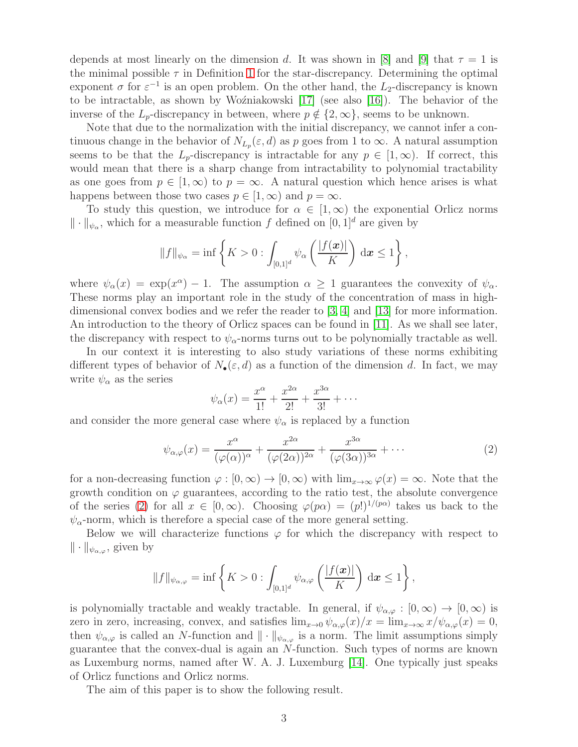depends at most linearly on the dimension d. It was shown in [\[8\]](#page-8-5) and [\[9\]](#page-8-6) that  $\tau = 1$  is the minimal possible  $\tau$  in Definition [1](#page-1-1) for the star-discrepancy. Determining the optimal exponent  $\sigma$  for  $\varepsilon^{-1}$  is an open problem. On the other hand, the  $L_2$ -discrepancy is known to be intractable, as shown by Woźniakowski [\[17\]](#page-8-7) (see also [\[16\]](#page-8-4)). The behavior of the inverse of the  $L_p$ -discrepancy in between, where  $p \notin \{2, \infty\}$ , seems to be unknown.

Note that due to the normalization with the initial discrepancy, we cannot infer a continuous change in the behavior of  $N_{L_p}(\varepsilon, d)$  as p goes from 1 to  $\infty$ . A natural assumption seems to be that the  $L_p$ -discrepancy is intractable for any  $p \in [1,\infty)$ . If correct, this would mean that there is a sharp change from intractability to polynomial tractability as one goes from  $p \in [1,\infty)$  to  $p = \infty$ . A natural question which hence arises is what happens between those two cases  $p \in [1,\infty)$  and  $p = \infty$ .

To study this question, we introduce for  $\alpha \in [1,\infty)$  the exponential Orlicz norms  $\|\cdot\|_{\psi_{\alpha}}$ , which for a measurable function f defined on  $[0, 1]^d$  are given by

$$
||f||_{\psi_{\alpha}} = \inf \left\{ K > 0 : \int_{[0,1]^d} \psi_{\alpha} \left( \frac{|f(\boldsymbol{x})|}{K} \right) d\boldsymbol{x} \le 1 \right\},\
$$

where  $\psi_{\alpha}(x) = \exp(x^{\alpha}) - 1$ . The assumption  $\alpha \ge 1$  guarantees the convexity of  $\psi_{\alpha}$ . These norms play an important role in the study of the concentration of mass in highdimensional convex bodies and we refer the reader to [\[3,](#page-7-0) [4\]](#page-7-1) and [\[13\]](#page-8-8) for more information. An introduction to the theory of Orlicz spaces can be found in [\[11\]](#page-8-9). As we shall see later, the discrepancy with respect to  $\psi_{\alpha}$ -norms turns out to be polynomially tractable as well.

In our context it is interesting to also study variations of these norms exhibiting different types of behavior of  $N_{\bullet}(\varepsilon, d)$  as a function of the dimension d. In fact, we may write  $\psi_{\alpha}$  as the series

$$
\psi_{\alpha}(x) = \frac{x^{\alpha}}{1!} + \frac{x^{2\alpha}}{2!} + \frac{x^{3\alpha}}{3!} + \cdots
$$

and consider the more general case where  $\psi_{\alpha}$  is replaced by a function

<span id="page-2-0"></span>
$$
\psi_{\alpha,\varphi}(x) = \frac{x^{\alpha}}{(\varphi(\alpha))^{\alpha}} + \frac{x^{2\alpha}}{(\varphi(2\alpha))^{2\alpha}} + \frac{x^{3\alpha}}{(\varphi(3\alpha))^{3\alpha}} + \cdots
$$
 (2)

for a non-decreasing function  $\varphi : [0, \infty) \to [0, \infty)$  with  $\lim_{x \to \infty} \varphi(x) = \infty$ . Note that the growth condition on  $\varphi$  guarantees, according to the ratio test, the absolute convergence of the series [\(2\)](#page-2-0) for all  $x \in [0, \infty)$ . Choosing  $\varphi(p\alpha) = (p!)^{1/(p\alpha)}$  takes us back to the  $\psi_{\alpha}$ -norm, which is therefore a special case of the more general setting.

Below we will characterize functions  $\varphi$  for which the discrepancy with respect to  $\|\cdot\|_{\psi_{\alpha,\varphi}},$  given by

$$
||f||_{\psi_{\alpha,\varphi}} = \inf \left\{ K > 0 : \int_{[0,1]^d} \psi_{\alpha,\varphi} \left( \frac{|f(\boldsymbol{x})|}{K} \right) d\boldsymbol{x} \le 1 \right\},\
$$

is polynomially tractable and weakly tractable. In general, if  $\psi_{\alpha,\varphi} : [0,\infty) \to [0,\infty)$  is zero in zero, increasing, convex, and satisfies  $\lim_{x\to 0} \psi_{\alpha,\varphi}(x)/x = \lim_{x\to\infty} x/\psi_{\alpha,\varphi}(x) = 0$ , then  $\psi_{\alpha,\varphi}$  is called an N-function and  $\|\cdot\|_{\psi_{\alpha,\varphi}}$  is a norm. The limit assumptions simply guarantee that the convex-dual is again an N-function. Such types of norms are known as Luxemburg norms, named after W. A. J. Luxemburg [\[14\]](#page-8-10). One typically just speaks of Orlicz functions and Orlicz norms.

The aim of this paper is to show the following result.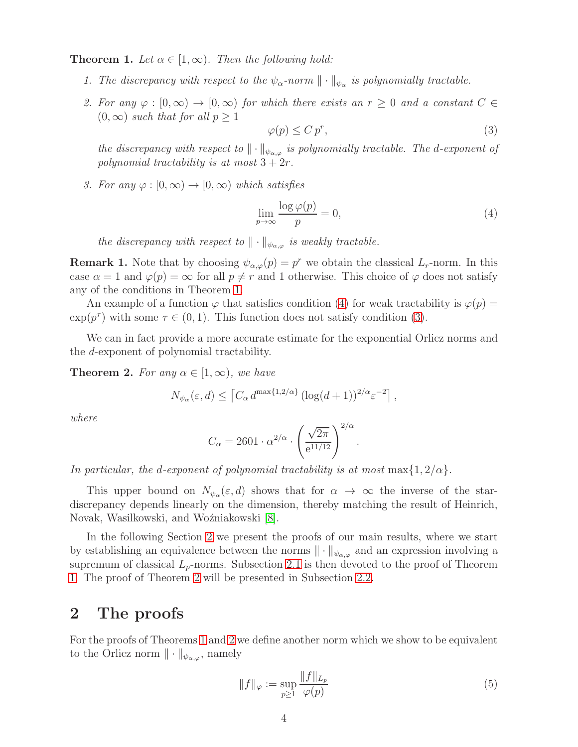<span id="page-3-0"></span>**Theorem 1.** Let  $\alpha \in [1, \infty)$ . Then the following hold:

- *1. The discrepancy with respect to the*  $\psi_{\alpha}$ -norm  $\|\cdot\|_{\psi_{\alpha}}$  *is polynomially tractable.*
- *2. For any*  $\varphi : [0, \infty) \to [0, \infty)$  *for which there exists an*  $r \geq 0$  *and a constant*  $C \in$  $(0, \infty)$  *such that for all*  $p \geq 1$

<span id="page-3-2"></span>
$$
\varphi(p) \le C p^r,\tag{3}
$$

*the discrepancy with respect to*  $\|\cdot\|_{\psi_{\alpha,\varphi}}$  *is polynomially tractable. The d-exponent of polynomial tractability is at most*  $3 + 2r$ *.* 

*3. For any*  $\varphi : [0, \infty) \to [0, \infty)$  *which satisfies* 

<span id="page-3-1"></span>
$$
\lim_{p \to \infty} \frac{\log \varphi(p)}{p} = 0,\tag{4}
$$

*the discrepancy with respect to*  $\|\cdot\|_{\psi_{\alpha,\varphi}}$  *is weakly tractable.* 

**Remark 1.** Note that by choosing  $\psi_{\alpha,\varphi}(p) = p^r$  we obtain the classical  $L_r$ -norm. In this case  $\alpha = 1$  and  $\varphi(p) = \infty$  for all  $p \neq r$  and 1 otherwise. This choice of  $\varphi$  does not satisfy any of the conditions in Theorem [1.](#page-3-0)

An example of a function  $\varphi$  that satisfies condition [\(4\)](#page-3-1) for weak tractability is  $\varphi(p)$  =  $\exp(p^{\tau})$  with some  $\tau \in (0, 1)$ . This function does not satisfy condition [\(3\)](#page-3-2).

We can in fact provide a more accurate estimate for the exponential Orlicz norms and the d-exponent of polynomial tractability.

<span id="page-3-4"></span>**Theorem 2.** For any  $\alpha \in [1, \infty)$ , we have

$$
N_{\psi_{\alpha}}(\varepsilon, d) \le \left[ C_{\alpha} d^{\max\{1, 2/\alpha\}} \left( \log(d+1) \right)^{2/\alpha} \varepsilon^{-2} \right],
$$

*where*

$$
C_{\alpha} = 2601 \cdot \alpha^{2/\alpha} \cdot \left(\frac{\sqrt{2\pi}}{e^{11/12}}\right)^{2/\alpha}.
$$

*In particular, the d-exponent of polynomial tractability is at most* max $\{1, 2/\alpha\}$ *.* 

This upper bound on  $N_{\psi_\alpha}(\varepsilon, d)$  shows that for  $\alpha \to \infty$  the inverse of the stardiscrepancy depends linearly on the dimension, thereby matching the result of Heinrich, Novak, Wasilkowski, and Woźniakowski [\[8\]](#page-8-5).

In the following Section [2](#page-3-3) we present the proofs of our main results, where we start by establishing an equivalence between the norms  $\|\cdot\|_{\psi_{\alpha,\varphi}}$  and an expression involving a supremum of classical  $L_p$ -norms. Subsection [2.1](#page-5-0) is then devoted to the proof of Theorem [1.](#page-3-0) The proof of Theorem [2](#page-3-4) will be presented in Subsection [2.2.](#page-6-0)

## <span id="page-3-3"></span>2 The proofs

For the proofs of Theorems [1](#page-3-0) and [2](#page-3-4) we define another norm which we show to be equivalent to the Orlicz norm  $\|\cdot\|_{\psi_{\alpha,\varphi}}$ , namely

<span id="page-3-5"></span>
$$
||f||_{\varphi} := \sup_{p \ge 1} \frac{||f||_{L_p}}{\varphi(p)} \tag{5}
$$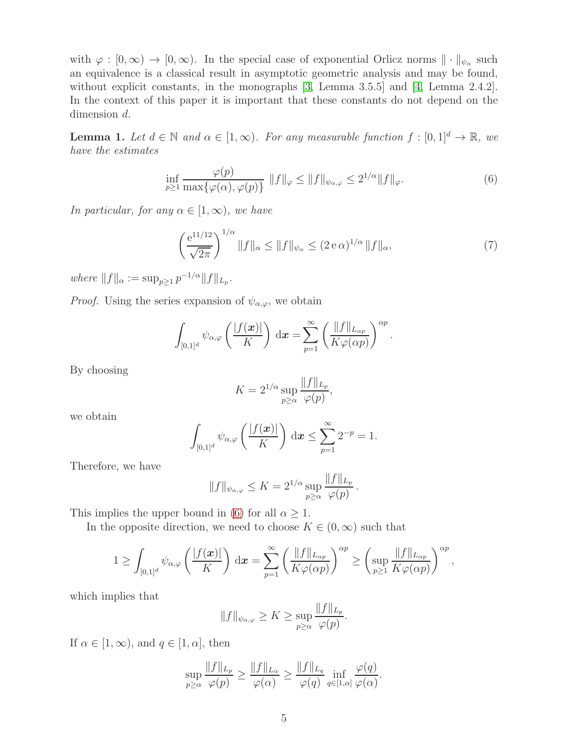with  $\varphi : [0, \infty) \to [0, \infty)$ . In the special case of exponential Orlicz norms  $\|\cdot\|_{\psi_{\alpha}}$  such an equivalence is a classical result in asymptotic geometric analysis and may be found, without explicit constants, in the monographs [\[3,](#page-7-0) Lemma 3.5.5] and [\[4,](#page-7-1) Lemma 2.4.2]. In the context of this paper it is important that these constants do not depend on the dimension d.

<span id="page-4-2"></span>**Lemma 1.** Let  $d \in \mathbb{N}$  and  $\alpha \in [1, \infty)$ . For any measurable function  $f : [0, 1]^d \to \mathbb{R}$ , we *have the estimates*

<span id="page-4-0"></span>
$$
\inf_{p\geq 1} \frac{\varphi(p)}{\max\{\varphi(\alpha), \varphi(p)\}} \|f\|_{\varphi} \leq \|f\|_{\psi_{\alpha,\varphi}} \leq 2^{1/\alpha} \|f\|_{\varphi}.
$$
\n(6)

*In particular, for any*  $\alpha \in [1, \infty)$ *, we have* 

<span id="page-4-1"></span>
$$
\left(\frac{e^{11/12}}{\sqrt{2\pi}}\right)^{1/\alpha} \|f\|_{\alpha} \le \|f\|_{\psi_{\alpha}} \le (2e\,\alpha)^{1/\alpha} \|f\|_{\alpha},\tag{7}
$$

 $where$   $||f||_{\alpha} := \sup_{p \geq 1} p^{-1/\alpha} ||f||_{L_p}.$ 

*Proof.* Using the series expansion of  $\psi_{\alpha,\varphi}$ , we obtain

$$
\int_{[0,1]^d} \psi_{\alpha,\varphi} \left( \frac{|f(\boldsymbol{x})|}{K} \right) d\boldsymbol{x} = \sum_{p=1}^{\infty} \left( \frac{\|f\|_{L_{\alpha p}}}{K\varphi(\alpha p)} \right)^{\alpha p}.
$$

By choosing

$$
K = 2^{1/\alpha} \sup_{p \ge \alpha} \frac{\|f\|_{L_p}}{\varphi(p)},
$$

we obtain

$$
\int_{[0,1]^d} \psi_{\alpha,\varphi}\left(\frac{|f(\boldsymbol{x})|}{K}\right) d\boldsymbol{x} \le \sum_{p=1}^{\infty} 2^{-p} = 1.
$$

Therefore, we have

$$
||f||_{\psi_{\alpha,\varphi}} \leq K = 2^{1/\alpha} \sup_{p \geq \alpha} \frac{||f||_{L_p}}{\varphi(p)}.
$$

This implies the upper bound in [\(6\)](#page-4-0) for all  $\alpha \geq 1$ .

In the opposite direction, we need to choose  $K \in (0, \infty)$  such that

$$
1 \geq \int_{[0,1]^d} \psi_{\alpha,\varphi} \left( \frac{|f(\boldsymbol{x})|}{K} \right) d\boldsymbol{x} = \sum_{p=1}^{\infty} \left( \frac{\|f\|_{L_{\alpha p}}}{K\varphi(\alpha p)} \right)^{\alpha p} \geq \left( \sup_{p \geq 1} \frac{\|f\|_{L_{\alpha p}}}{K\varphi(\alpha p)} \right)^{\alpha p},
$$

which implies that

$$
||f||_{\psi_{\alpha,\varphi}} \geq K \geq \sup_{p \geq \alpha} \frac{||f||_{L_p}}{\varphi(p)}.
$$

If  $\alpha \in [1, \infty)$ , and  $q \in [1, \alpha]$ , then

$$
\sup_{p\geq\alpha}\frac{\|f\|_{L_p}}{\varphi(p)}\geq\frac{\|f\|_{L_\alpha}}{\varphi(\alpha)}\geq\frac{\|f\|_{L_q}}{\varphi(q)}\inf_{q\in[1,\alpha]}\frac{\varphi(q)}{\varphi(\alpha)}.
$$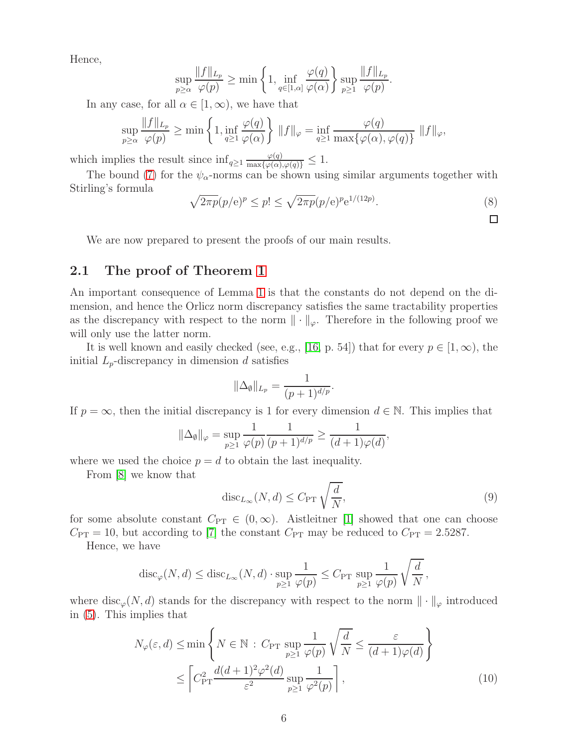Hence,

$$
\sup_{p\geq\alpha}\frac{\|f\|_{L_p}}{\varphi(p)}\geq\min\left\{1,\inf_{q\in[1,\alpha]}\frac{\varphi(q)}{\varphi(\alpha)}\right\}\sup_{p\geq1}\frac{\|f\|_{L_p}}{\varphi(p)}.
$$

In any case, for all  $\alpha \in [1,\infty)$ , we have that

$$
\sup_{p\geq\alpha} \frac{\|f\|_{L_p}}{\varphi(p)} \geq \min\left\{1, \inf_{q\geq 1} \frac{\varphi(q)}{\varphi(\alpha)}\right\} \|f\|_{\varphi} = \inf_{q\geq 1} \frac{\varphi(q)}{\max\{\varphi(\alpha), \varphi(q)\}} \|f\|_{\varphi},
$$

which implies the result since  $\inf_{q\geq 1} \frac{\varphi(q)}{\max\{\varphi(\alpha),\varphi(q)\}} \leq 1.$ 

The bound [\(7\)](#page-4-1) for the  $\psi_{\alpha}$ -norms can be shown using similar arguments together with Stirling's formula

<span id="page-5-1"></span>
$$
\sqrt{2\pi p}(p/\mathbf{e})^p \le p! \le \sqrt{2\pi p}(p/\mathbf{e})^p \mathbf{e}^{1/(12p)}.\tag{8}
$$

We are now prepared to present the proofs of our main results.

### <span id="page-5-0"></span>2.1 The proof of Theorem [1](#page-3-0)

An important consequence of Lemma [1](#page-4-2) is that the constants do not depend on the dimension, and hence the Orlicz norm discrepancy satisfies the same tractability properties as the discrepancy with respect to the norm  $\|\cdot\|_{\varphi}$ . Therefore in the following proof we will only use the latter norm.

It is well known and easily checked (see, e.g., [\[16,](#page-8-4) p. 54]) that for every  $p \in [1,\infty)$ , the initial  $L_p$ -discrepancy in dimension d satisfies

$$
\|\Delta_{\emptyset}\|_{L_p} = \frac{1}{(p+1)^{d/p}}.
$$

If  $p = \infty$ , then the initial discrepancy is 1 for every dimension  $d \in \mathbb{N}$ . This implies that

$$
\|\Delta_{\emptyset}\|_{\varphi} = \sup_{p\geq 1} \frac{1}{\varphi(p)} \frac{1}{(p+1)^{d/p}} \geq \frac{1}{(d+1)\varphi(d)},
$$

where we used the choice  $p = d$  to obtain the last inequality.

From [\[8\]](#page-8-5) we know that

<span id="page-5-2"></span>
$$
\operatorname{disc}_{L_{\infty}}(N, d) \le C_{\text{PT}} \sqrt{\frac{d}{N}},\tag{9}
$$

for some absolute constant  $C_{PT} \in (0,\infty)$ . Aistleitner [\[1\]](#page-7-2) showed that one can choose  $C_{\text{PT}} = 10$ , but according to [\[7\]](#page-8-11) the constant  $C_{\text{PT}}$  may be reduced to  $C_{\text{PT}} = 2.5287$ .

Hence, we have

$$
\mathrm{disc}_{\varphi}(N,d) \leq \mathrm{disc}_{L_{\infty}}(N,d) \cdot \sup_{p \geq 1} \frac{1}{\varphi(p)} \leq C_{\mathrm{PT}} \sup_{p \geq 1} \frac{1}{\varphi(p)} \sqrt{\frac{d}{N}},
$$

where  $\text{disc}_{\varphi}(N, d)$  stands for the discrepancy with respect to the norm  $\|\cdot\|_{\varphi}$  introduced in [\(5\)](#page-3-5). This implies that

$$
N_{\varphi}(\varepsilon, d) \le \min \left\{ N \in \mathbb{N} : C_{\text{PT}} \sup_{p \ge 1} \frac{1}{\varphi(p)} \sqrt{\frac{d}{N}} \le \frac{\varepsilon}{(d+1)\varphi(d)} \right\}
$$
  

$$
\le \left[ C_{\text{PT}}^2 \frac{d(d+1)^2 \varphi^2(d)}{\varepsilon^2} \sup_{p \ge 1} \frac{1}{\varphi^2(p)} \right],
$$
 (10)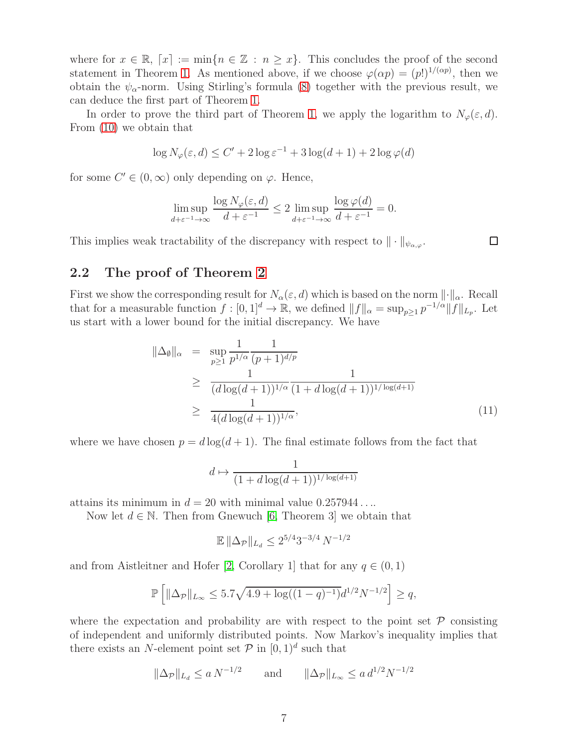where for  $x \in \mathbb{R}$ ,  $[x] := \min\{n \in \mathbb{Z} : n \geq x\}$ . This concludes the proof of the second statement in Theorem [1.](#page-3-0) As mentioned above, if we choose  $\varphi(\alpha p) = (p!)^{1/(\alpha p)}$ , then we obtain the  $\psi_{\alpha}$ -norm. Using Stirling's formula [\(8\)](#page-5-1) together with the previous result, we can deduce the first part of Theorem [1.](#page-3-0)

In order to prove the third part of Theorem [1,](#page-3-0) we apply the logarithm to  $N_{\varphi}(\varepsilon, d)$ . From [\(10\)](#page-5-2) we obtain that

$$
\log N_{\varphi}(\varepsilon, d) \le C' + 2\log \varepsilon^{-1} + 3\log(d+1) + 2\log \varphi(d)
$$

for some  $C' \in (0, \infty)$  only depending on  $\varphi$ . Hence,

$$
\limsup_{d+\varepsilon^{-1}\to\infty} \frac{\log N_{\varphi}(\varepsilon, d)}{d+\varepsilon^{-1}} \le 2 \limsup_{d+\varepsilon^{-1}\to\infty} \frac{\log \varphi(d)}{d+\varepsilon^{-1}} = 0.
$$

This implies weak tractability of the discrepancy with respect to  $\|\cdot\|_{\psi_{\alpha,\varphi}}$ .

□

#### <span id="page-6-0"></span>2.2 The proof of Theorem [2](#page-3-4)

First we show the corresponding result for  $N_{\alpha}(\varepsilon, d)$  which is based on the norm  $\lVert \cdot \rVert_{\alpha}$ . Recall that for a measurable function  $f: [0,1]^d \to \mathbb{R}$ , we defined  $||f||_{\alpha} = \sup_{p \geq 1} p^{-1/\alpha} ||f||_{L_p}$ . Let us start with a lower bound for the initial discrepancy. We have

<span id="page-6-1"></span>
$$
\|\Delta_{\emptyset}\|_{\alpha} = \sup_{p\geq 1} \frac{1}{p^{1/\alpha}} \frac{1}{(p+1)^{d/p}}
$$
  
\n
$$
\geq \frac{1}{(d \log(d+1))^{1/\alpha}} \frac{1}{(1+d \log(d+1))^{1/\log(d+1)}}
$$
  
\n
$$
\geq \frac{1}{4(d \log(d+1))^{1/\alpha}},
$$
\n(11)

where we have chosen  $p = d \log(d+1)$ . The final estimate follows from the fact that

$$
d \mapsto \frac{1}{(1+d\log(d+1))^{1/\log(d+1)}}
$$

attains its minimum in  $d = 20$  with minimal value  $0.257944...$ 

Now let  $d \in \mathbb{N}$ . Then from Gnewuch [\[6,](#page-8-12) Theorem 3] we obtain that

$$
\mathbb{E} \|\Delta_{\mathcal{P}}\|_{L_d} \le 2^{5/4} 3^{-3/4} N^{-1/2}
$$

and from Aistleitner and Hofer [\[2,](#page-7-3) Corollary 1] that for any  $q \in (0, 1)$ 

$$
\mathbb{P}\left[\|\Delta_{\mathcal{P}}\|_{L_{\infty}} \leq 5.7\sqrt{4.9 + \log((1-q)^{-1})}d^{1/2}N^{-1/2}\right] \geq q,
$$

where the expectation and probability are with respect to the point set  $\mathcal P$  consisting of independent and uniformly distributed points. Now Markov's inequality implies that there exists an N-element point set  $P$  in  $[0, 1)^d$  such that

$$
\|\Delta_{\mathcal{P}}\|_{L_d} \le a N^{-1/2}
$$
 and  $\|\Delta_{\mathcal{P}}\|_{L_{\infty}} \le a d^{1/2} N^{-1/2}$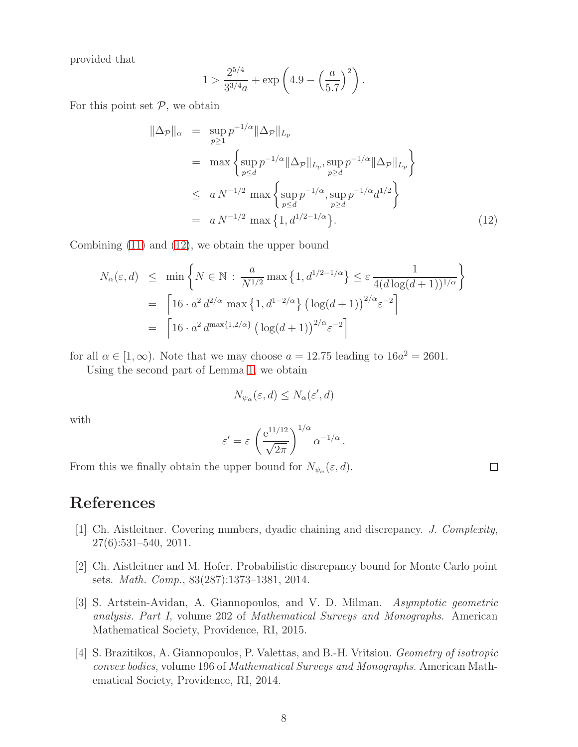provided that

$$
1 > \frac{2^{5/4}}{3^{3/4}a} + \exp\left(4.9 - \left(\frac{a}{5.7}\right)^2\right).
$$

For this point set  $P$ , we obtain

<span id="page-7-4"></span>
$$
\|\Delta_{\mathcal{P}}\|_{\alpha} = \sup_{p\geq 1} p^{-1/\alpha} \|\Delta_{\mathcal{P}}\|_{L_p}
$$
  
\n
$$
= \max \left\{ \sup_{p\leq d} p^{-1/\alpha} \|\Delta_{\mathcal{P}}\|_{L_p}, \sup_{p\geq d} p^{-1/\alpha} \|\Delta_{\mathcal{P}}\|_{L_p} \right\}
$$
  
\n
$$
\leq a N^{-1/2} \max \left\{ \sup_{p\leq d} p^{-1/\alpha}, \sup_{p\geq d} p^{-1/\alpha} d^{1/2} \right\}
$$
  
\n
$$
= a N^{-1/2} \max \left\{ 1, d^{1/2-1/\alpha} \right\}. \tag{12}
$$

Combining [\(11\)](#page-6-1) and [\(12\)](#page-7-4), we obtain the upper bound

$$
N_{\alpha}(\varepsilon, d) \leq \min \left\{ N \in \mathbb{N} : \frac{a}{N^{1/2}} \max \left\{ 1, d^{1/2 - 1/\alpha} \right\} \leq \varepsilon \frac{1}{4(d \log(d+1))^{1/\alpha}} \right\}
$$
  
= 
$$
\left[ 16 \cdot a^2 d^{2/\alpha} \max \left\{ 1, d^{1-2/\alpha} \right\} \left( \log(d+1) \right)^{2/\alpha} \varepsilon^{-2} \right]
$$
  
= 
$$
\left[ 16 \cdot a^2 d^{\max\{1, 2/\alpha\}} \left( \log(d+1) \right)^{2/\alpha} \varepsilon^{-2} \right]
$$

for all  $\alpha \in [1, \infty)$ . Note that we may choose  $a = 12.75$  leading to  $16a^2 = 2601$ .

Using the second part of Lemma [1,](#page-4-2) we obtain

$$
N_{\psi_{\alpha}}(\varepsilon, d) \leq N_{\alpha}(\varepsilon', d)
$$

with

$$
\varepsilon' = \varepsilon \left( \frac{e^{11/12}}{\sqrt{2\pi}} \right)^{1/\alpha} \alpha^{-1/\alpha}.
$$

 $\Box$ 

From this we finally obtain the upper bound for  $N_{\psi_\alpha}(\varepsilon, d)$ .

<span id="page-7-2"></span>References

- [1] Ch. Aistleitner. Covering numbers, dyadic chaining and discrepancy. *J. Complexity*, 27(6):531–540, 2011.
- <span id="page-7-3"></span>[2] Ch. Aistleitner and M. Hofer. Probabilistic discrepancy bound for Monte Carlo point sets. *Math. Comp.*, 83(287):1373–1381, 2014.
- <span id="page-7-0"></span>[3] S. Artstein-Avidan, A. Giannopoulos, and V. D. Milman. *Asymptotic geometric analysis. Part I*, volume 202 of *Mathematical Surveys and Monographs*. American Mathematical Society, Providence, RI, 2015.
- <span id="page-7-1"></span>[4] S. Brazitikos, A. Giannopoulos, P. Valettas, and B.-H. Vritsiou. *Geometry of isotropic convex bodies*, volume 196 of *Mathematical Surveys and Monographs*. American Mathematical Society, Providence, RI, 2014.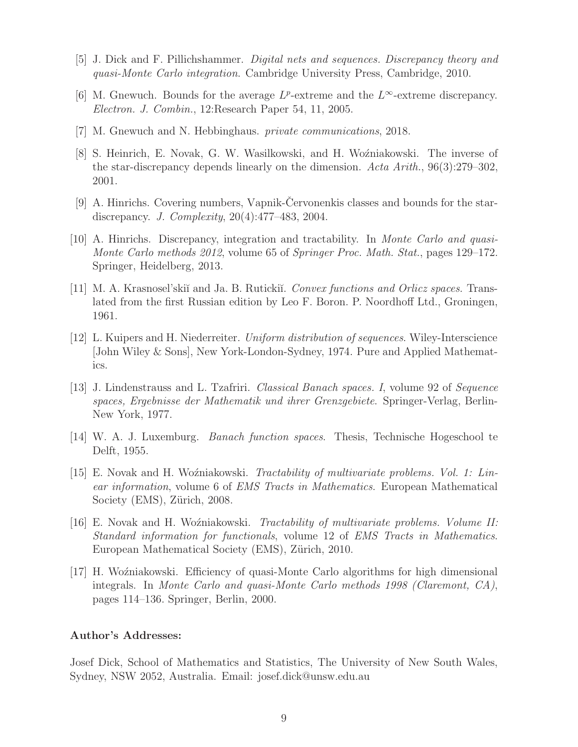- <span id="page-8-12"></span><span id="page-8-0"></span>[5] J. Dick and F. Pillichshammer. *Digital nets and sequences. Discrepancy theory and quasi-Monte Carlo integration*. Cambridge University Press, Cambridge, 2010.
- <span id="page-8-11"></span>[6] M. Gnewuch. Bounds for the average  $L^p$ -extreme and the  $L^\infty$ -extreme discrepancy. *Electron. J. Combin.*, 12:Research Paper 54, 11, 2005.
- <span id="page-8-5"></span>[7] M. Gnewuch and N. Hebbinghaus. *private communications*, 2018.
- [8] S. Heinrich, E. Novak, G. W. Wasilkowski, and H. Woźniakowski. The inverse of the star-discrepancy depends linearly on the dimension. *Acta Arith.*, 96(3):279–302, 2001.
- <span id="page-8-6"></span>[9] A. Hinrichs. Covering numbers, Vapnik-Cervonenkis classes and bounds for the stardiscrepancy. *J. Complexity*, 20(4):477–483, 2004.
- <span id="page-8-1"></span>[10] A. Hinrichs. Discrepancy, integration and tractability. In *Monte Carlo and quasi-Monte Carlo methods 2012*, volume 65 of *Springer Proc. Math. Stat.*, pages 129–172. Springer, Heidelberg, 2013.
- <span id="page-8-9"></span>[11] M. A. Krasnosel'ski˘ı and Ja. B. Ruticki˘ı. *Convex functions and Orlicz spaces*. Translated from the first Russian edition by Leo F. Boron. P. Noordhoff Ltd., Groningen, 1961.
- <span id="page-8-2"></span>[12] L. Kuipers and H. Niederreiter. *Uniform distribution of sequences*. Wiley-Interscience [John Wiley & Sons], New York-London-Sydney, 1974. Pure and Applied Mathematics.
- <span id="page-8-8"></span>[13] J. Lindenstrauss and L. Tzafriri. *Classical Banach spaces. I*, volume 92 of *Sequence spaces, Ergebnisse der Mathematik und ihrer Grenzgebiete*. Springer-Verlag, Berlin-New York, 1977.
- <span id="page-8-10"></span>[14] W. A. J. Luxemburg. *Banach function spaces*. Thesis, Technische Hogeschool te Delft, 1955.
- <span id="page-8-3"></span>[15] E. Novak and H. Woźniakowski. *Tractability of multivariate problems. Vol. 1: Linear information*, volume 6 of *EMS Tracts in Mathematics*. European Mathematical Society (EMS), Zürich, 2008.
- <span id="page-8-4"></span>[16] E. Novak and H. Wo´zniakowski. *Tractability of multivariate problems. Volume II: Standard information for functionals*, volume 12 of *EMS Tracts in Mathematics*. European Mathematical Society (EMS), Zürich, 2010.
- <span id="page-8-7"></span>[17] H. Wo´zniakowski. Efficiency of quasi-Monte Carlo algorithms for high dimensional integrals. In *Monte Carlo and quasi-Monte Carlo methods 1998 (Claremont, CA)*, pages 114–136. Springer, Berlin, 2000.

#### Author's Addresses:

Josef Dick, School of Mathematics and Statistics, The University of New South Wales, Sydney, NSW 2052, Australia. Email: josef.dick@unsw.edu.au